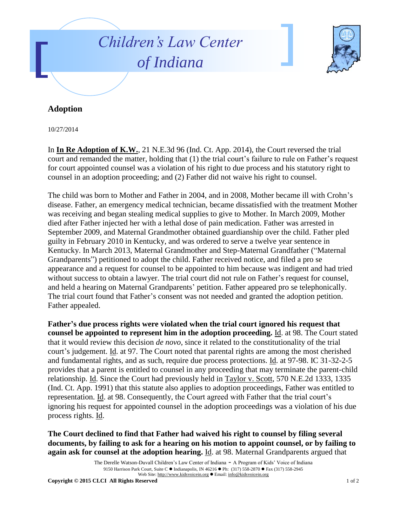



## **Adoption**

10/27/2014

In **In Re Adoption of K.W.**, 21 N.E.3d 96 (Ind. Ct. App. 2014), the Court reversed the trial court and remanded the matter, holding that (1) the trial court's failure to rule on Father's request for court appointed counsel was a violation of his right to due process and his statutory right to counsel in an adoption proceeding; and (2) Father did not waive his right to counsel.

The child was born to Mother and Father in 2004, and in 2008, Mother became ill with Crohn's disease. Father, an emergency medical technician, became dissatisfied with the treatment Mother was receiving and began stealing medical supplies to give to Mother. In March 2009, Mother died after Father injected her with a lethal dose of pain medication. Father was arrested in September 2009, and Maternal Grandmother obtained guardianship over the child. Father pled guilty in February 2010 in Kentucky, and was ordered to serve a twelve year sentence in Kentucky. In March 2013, Maternal Grandmother and Step-Maternal Grandfather ("Maternal Grandparents") petitioned to adopt the child. Father received notice, and filed a pro se appearance and a request for counsel to be appointed to him because was indigent and had tried without success to obtain a lawyer. The trial court did not rule on Father's request for counsel, and held a hearing on Maternal Grandparents' petition. Father appeared pro se telephonically. The trial court found that Father's consent was not needed and granted the adoption petition. Father appealed.

**Father's due process rights were violated when the trial court ignored his request that counsel be appointed to represent him in the adoption proceeding.** Id. at 98. The Court stated that it would review this decision *de novo*, since it related to the constitutionality of the trial court's judgement. Id. at 97. The Court noted that parental rights are among the most cherished and fundamental rights, and as such, require due process protections. Id. at 97-98. IC 31-32-2-5 provides that a parent is entitled to counsel in any proceeding that may terminate the parent-child relationship. Id. Since the Court had previously held in Taylor v. Scott, 570 N.E.2d 1333, 1335 (Ind. Ct. App. 1991) that this statute also applies to adoption proceedings, Father was entitled to representation. Id. at 98. Consequently, the Court agreed with Father that the trial court's ignoring his request for appointed counsel in the adoption proceedings was a violation of his due process rights. Id.

**The Court declined to find that Father had waived his right to counsel by filing several documents, by failing to ask for a hearing on his motion to appoint counsel, or by failing to again ask for counsel at the adoption hearing.** Id. at 98. Maternal Grandparents argued that